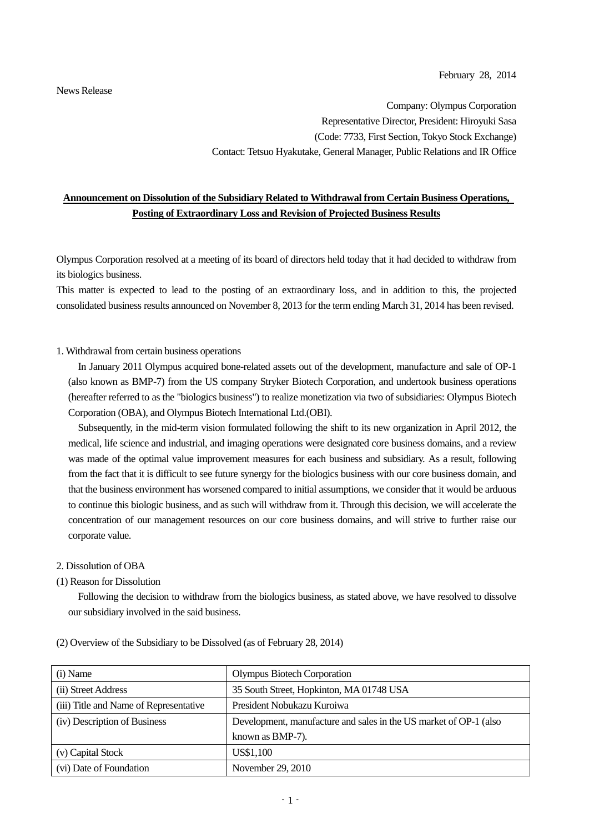News Release

Company: Olympus Corporation Representative Director, President: Hiroyuki Sasa (Code: 7733, First Section, Tokyo Stock Exchange) Contact: Tetsuo Hyakutake, General Manager, Public Relations and IR Office

# **Announcement on Dissolution of the Subsidiary Related to Withdrawal from Certain Business Operations, Posting of Extraordinary Loss and Revision of Projected Business Results**

Olympus Corporation resolved at a meeting of its board of directors held today that it had decided to withdraw from its biologics business.

This matter is expected to lead to the posting of an extraordinary loss, and in addition to this, the projected consolidated business results announced on November 8, 2013 for the term ending March 31, 2014 has been revised.

### 1. Withdrawal from certain business operations

In January 2011 Olympus acquired bone-related assets out of the development, manufacture and sale of OP-1 (also known as BMP-7) from the US company Stryker Biotech Corporation, and undertook business operations (hereafter referred to as the "biologics business") to realize monetization via two of subsidiaries: Olympus Biotech Corporation (OBA), and Olympus Biotech International Ltd.(OBI).

Subsequently, in the mid-term vision formulated following the shift to its new organization in April 2012, the medical, life science and industrial, and imaging operations were designated core business domains, and a review was made of the optimal value improvement measures for each business and subsidiary. As a result, following from the fact that it is difficult to see future synergy for the biologics business with our core business domain, and that the business environment has worsened compared to initial assumptions, we consider that it would be arduous to continue this biologic business, and as such will withdraw from it. Through this decision, we will accelerate the concentration of our management resources on our core business domains, and will strive to further raise our corporate value.

#### 2. Dissolution of OBA

(1) Reason for Dissolution

Following the decision to withdraw from the biologics business, as stated above, we have resolved to dissolve our subsidiary involved in the said business.

| (i) Name                               | <b>Olympus Biotech Corporation</b>                                |
|----------------------------------------|-------------------------------------------------------------------|
| (ii) Street Address                    | 35 South Street, Hopkinton, MA 01748 USA                          |
| (iii) Title and Name of Representative | President Nobukazu Kuroiwa                                        |
| (iv) Description of Business           | Development, manufacture and sales in the US market of OP-1 (also |
|                                        | known as BMP-7).                                                  |
| (v) Capital Stock                      | US\$1,100                                                         |
| (vi) Date of Foundation                | November 29, 2010                                                 |

#### (2) Overview of the Subsidiary to be Dissolved (as of February 28, 2014)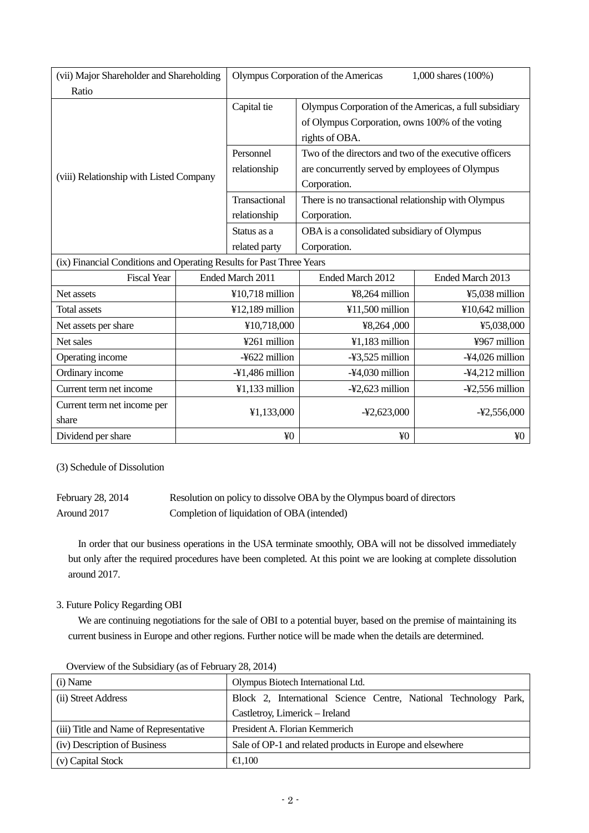| (vii) Major Shareholder and Shareholding                             |                    | Olympus Corporation of the Americas<br>1,000 shares (100%) |                                                                                                                             |                  |  |
|----------------------------------------------------------------------|--------------------|------------------------------------------------------------|-----------------------------------------------------------------------------------------------------------------------------|------------------|--|
| Ratio                                                                |                    |                                                            |                                                                                                                             |                  |  |
| (viii) Relationship with Listed Company                              |                    | Capital tie                                                | Olympus Corporation of the Americas, a full subsidiary<br>of Olympus Corporation, owns 100% of the voting<br>rights of OBA. |                  |  |
|                                                                      |                    | Personnel<br>relationship                                  | Two of the directors and two of the executive officers<br>are concurrently served by employees of Olympus<br>Corporation.   |                  |  |
|                                                                      |                    | Transactional<br>relationship                              | There is no transactional relationship with Olympus<br>Corporation.                                                         |                  |  |
|                                                                      |                    | Status as a<br>related party                               | OBA is a consolidated subsidiary of Olympus<br>Corporation.                                                                 |                  |  |
| (ix) Financial Conditions and Operating Results for Past Three Years |                    |                                                            |                                                                                                                             |                  |  |
| <b>Fiscal Year</b>                                                   | Ended March 2011   |                                                            | Ended March 2012                                                                                                            | Ended March 2013 |  |
| Net assets                                                           | ¥10,718 million    |                                                            | ¥8,264 million                                                                                                              | ¥5,038 million   |  |
| <b>Total assets</b>                                                  | ¥12,189 $m$ illion |                                                            | ¥11,500 million                                                                                                             | ¥10,642 million  |  |
| Net assets per share                                                 | ¥10,718,000        |                                                            | ¥8,264,000                                                                                                                  | ¥5,038,000       |  |
| Net sales                                                            | ¥261 million       |                                                            | ¥1,183 million                                                                                                              | ¥967 million     |  |
| Operating income                                                     | -¥622 million      |                                                            | -¥3,525 million                                                                                                             | -¥4,026 million  |  |
| Ordinary income                                                      | -¥1,486 million    |                                                            | -¥4,030 million                                                                                                             | -¥4,212 million  |  |
| Current term net income                                              | $¥1,133$ million   |                                                            | -¥2,623 million                                                                                                             | -¥2,556 million  |  |
| Current term net income per<br>share                                 | ¥1,133,000         |                                                            | $-42,623,000$                                                                                                               | $-42,556,000$    |  |
| Dividend per share                                                   | ¥ <sub>0</sub>     |                                                            | ¥0                                                                                                                          | ¥0               |  |

(3) Schedule of Dissolution

| February 28, 2014 | Resolution on policy to dissolve OBA by the Olympus board of directors |
|-------------------|------------------------------------------------------------------------|
| Around 2017       | Completion of liquidation of OBA (intended)                            |

In order that our business operations in the USA terminate smoothly, OBA will not be dissolved immediately but only after the required procedures have been completed. At this point we are looking at complete dissolution around 2017.

## 3. Future Policy Regarding OBI

We are continuing negotiations for the sale of OBI to a potential buyer, based on the premise of maintaining its current business in Europe and other regions. Further notice will be made when the details are determined.

| (i) Name                               | Olympus Biotech International Ltd.                               |  |  |  |  |
|----------------------------------------|------------------------------------------------------------------|--|--|--|--|
| (ii) Street Address                    | Block 2, International Science Centre, National Technology Park, |  |  |  |  |
|                                        | Castletroy, Limerick – Ireland                                   |  |  |  |  |
| (iii) Title and Name of Representative | President A. Florian Kemmerich                                   |  |  |  |  |
| (iv) Description of Business           | Sale of OP-1 and related products in Europe and elsewhere        |  |  |  |  |
| (v) Capital Stock                      | $\bigoplus$ , 100                                                |  |  |  |  |

Overview of the Subsidiary (as of February 28, 2014)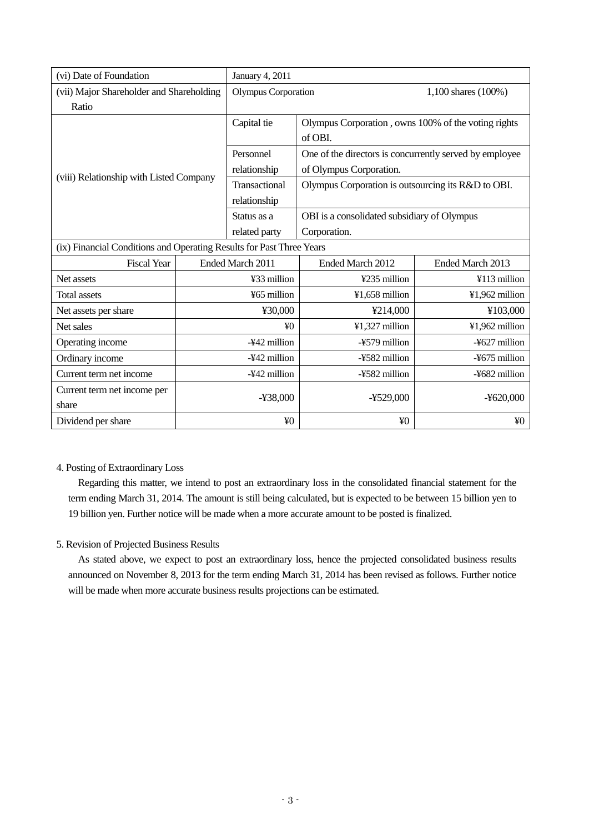| (vi) Date of Foundation                                              |                  | January 4, 2011            |                                                         |                     |  |
|----------------------------------------------------------------------|------------------|----------------------------|---------------------------------------------------------|---------------------|--|
| (vii) Major Shareholder and Shareholding                             |                  | <b>Olympus Corporation</b> |                                                         | 1,100 shares (100%) |  |
| Ratio                                                                |                  |                            |                                                         |                     |  |
|                                                                      |                  | Capital tie                | Olympus Corporation, owns 100% of the voting rights     |                     |  |
|                                                                      |                  |                            | of OBI.                                                 |                     |  |
|                                                                      |                  | Personnel                  | One of the directors is concurrently served by employee |                     |  |
| (viii) Relationship with Listed Company                              |                  | relationship               | of Olympus Corporation.                                 |                     |  |
|                                                                      |                  | Transactional              | Olympus Corporation is outsourcing its R&D to OBI.      |                     |  |
|                                                                      |                  | relationship               |                                                         |                     |  |
|                                                                      |                  | Status as a                | OBI is a consolidated subsidiary of Olympus             |                     |  |
|                                                                      |                  | related party              | Corporation.                                            |                     |  |
| (ix) Financial Conditions and Operating Results for Past Three Years |                  |                            |                                                         |                     |  |
| <b>Fiscal Year</b>                                                   | Ended March 2011 |                            | Ended March 2012                                        | Ended March 2013    |  |
| Net assets                                                           | ¥33 million      |                            | ¥235 million                                            | ¥113 million        |  |
| <b>Total assets</b>                                                  | ¥65 million      |                            | ¥1,658 million                                          | ¥1,962 million      |  |
| Net assets per share                                                 | ¥30,000          |                            | ¥214,000                                                | ¥103,000            |  |
| Net sales                                                            | $\angle 40$      |                            | ¥1,327 million                                          | ¥1,962 million      |  |
| Operating income                                                     | -¥42 million     |                            | -¥579 million                                           | -¥627 million       |  |
| Ordinary income                                                      | -¥42 million     |                            | -¥582 million                                           | -¥675 million       |  |
| Current term net income                                              | -¥42 million     |                            | -¥582 million                                           | -¥682 million       |  |
| Current term net income per                                          |                  |                            |                                                         |                     |  |
| share                                                                | ¥38,000          |                            | ¥529,000                                                | $-4620,000$         |  |
| Dividend per share                                                   | ¥ <sub>0</sub>   |                            | ¥ <sub>0</sub>                                          | ¥0                  |  |

## 4. Posting of Extraordinary Loss

Regarding this matter, we intend to post an extraordinary loss in the consolidated financial statement for the term ending March 31, 2014. The amount is still being calculated, but is expected to be between 15 billion yen to 19 billion yen. Further notice will be made when a more accurate amount to be posted is finalized.

## 5. Revision of Projected Business Results

As stated above, we expect to post an extraordinary loss, hence the projected consolidated business results announced on November 8, 2013 for the term ending March 31, 2014 has been revised as follows. Further notice will be made when more accurate business results projections can be estimated.